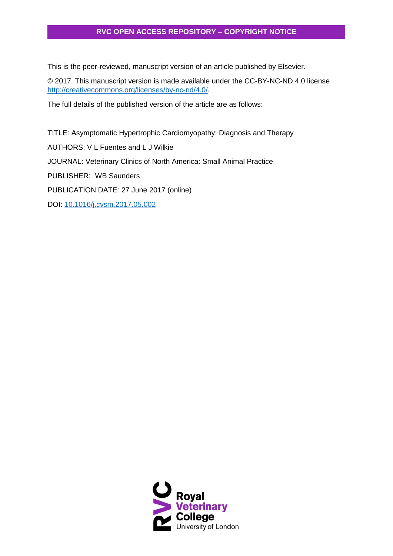## **RVC OPEN ACCESS REPOSITORY – COPYRIGHT NOTICE**

This is the peer-reviewed, manuscript version of an article published by Elsevier.

© 2017. This manuscript version is made available under the CC-BY-NC-ND 4.0 license [http://creativecommons.org/licenses/by-nc-nd/4.0/.](http://creativecommons.org/licenses/by-nc-nd/4.0/)

The full details of the published version of the article are as follows:

TITLE: Asymptomatic Hypertrophic Cardiomyopathy: Diagnosis and Therapy AUTHORS: V L Fuentes and L J Wilkie JOURNAL: Veterinary Clinics of North America: Small Animal Practice PUBLISHER: WB Saunders PUBLICATION DATE: 27 June 2017 (online) DOI: [10.1016/j.cvsm.2017.05.002](https://doi.org/10.1016/j.cvsm.2017.05.002)

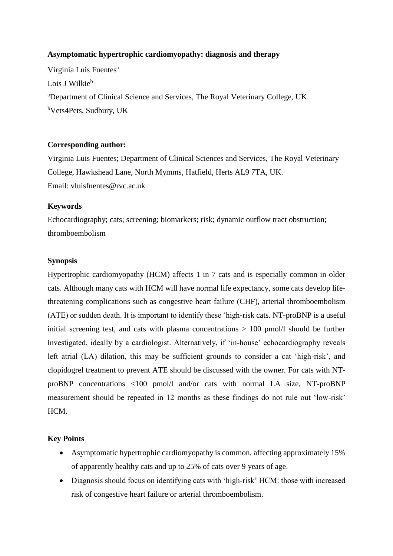## **Asymptomatic hypertrophic cardiomyopathy: diagnosis and therapy**

Virginia Luis Fuentes<sup>a</sup> Lois J Wilkie<sup>b</sup> <sup>a</sup>Department of Clinical Science and Services, The Royal Veterinary College, UK <sup>b</sup>Vets4Pets, Sudbury, UK

## **Corresponding author:**

Virginia Luis Fuentes; Department of Clinical Sciences and Services, The Royal Veterinary College, Hawkshead Lane, North Mymms, Hatfield, Herts AL9 7TA, UK. Email: vluisfuentes@rvc.ac.uk

## **Keywords**

Echocardiography; cats; screening; biomarkers; risk; dynamic outflow tract obstruction; thromboembolism

## **Synopsis**

Hypertrophic cardiomyopathy (HCM) affects 1 in 7 cats and is especially common in older cats. Although many cats with HCM will have normal life expectancy, some cats develop lifethreatening complications such as congestive heart failure (CHF), arterial thromboembolism (ATE) or sudden death. It is important to identify these 'high-risk cats. NT-proBNP is a useful initial screening test, and cats with plasma concentrations > 100 pmol/l should be further investigated, ideally by a cardiologist. Alternatively, if 'in-house' echocardiography reveals left atrial (LA) dilation, this may be sufficient grounds to consider a cat 'high-risk', and clopidogrel treatment to prevent ATE should be discussed with the owner. For cats with NTproBNP concentrations <100 pmol/l and/or cats with normal LA size, NT-proBNP measurement should be repeated in 12 months as these findings do not rule out 'low-risk' HCM.

## **Key Points**

- Asymptomatic hypertrophic cardiomyopathy is common, affecting approximately 15% of apparently healthy cats and up to 25% of cats over 9 years of age.
- Diagnosis should focus on identifying cats with 'high-risk' HCM: those with increased risk of congestive heart failure or arterial thromboembolism.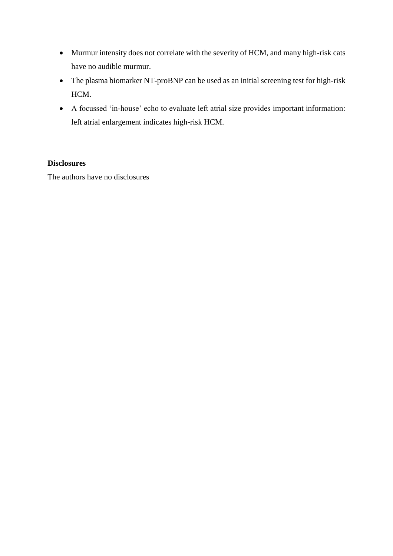- Murmur intensity does not correlate with the severity of HCM, and many high-risk cats have no audible murmur.
- The plasma biomarker NT-proBNP can be used as an initial screening test for high-risk HCM.
- A focussed 'in-house' echo to evaluate left atrial size provides important information: left atrial enlargement indicates high-risk HCM.

## **Disclosures**

The authors have no disclosures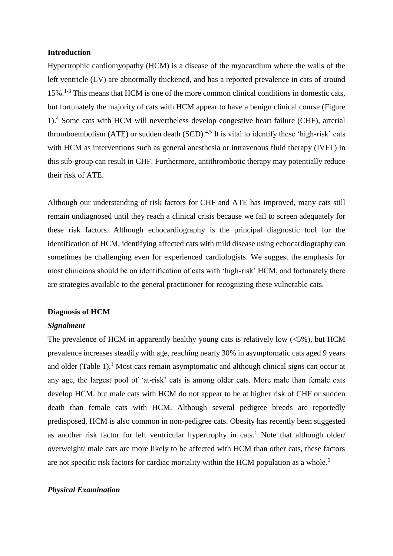#### **Introduction**

Hypertrophic cardiomyopathy (HCM) is a disease of the myocardium where the walls of the left ventricle (LV) are abnormally thickened, and has a reported prevalence in cats of around 15%.1-3 This means that HCM is one of the more common clinical conditions in domestic cats, but fortunately the majority of cats with HCM appear to have a benign clinical course (Figure 1).<sup>4</sup> Some cats with HCM will nevertheless develop congestive heart failure (CHF), arterial thromboembolism (ATE) or sudden death (SCD).<sup>4,5</sup> It is vital to identify these 'high-risk' cats with HCM as interventions such as general anesthesia or intravenous fluid therapy (IVFT) in this sub-group can result in CHF. Furthermore, antithrombotic therapy may potentially reduce their risk of ATE.

Although our understanding of risk factors for CHF and ATE has improved, many cats still remain undiagnosed until they reach a clinical crisis because we fail to screen adequately for these risk factors. Although echocardiography is the principal diagnostic tool for the identification of HCM, identifying affected cats with mild disease using echocardiography can sometimes be challenging even for experienced cardiologists. We suggest the emphasis for most clinicians should be on identification of cats with 'high-risk' HCM, and fortunately there are strategies available to the general practitioner for recognizing these vulnerable cats.

#### **Diagnosis of HCM**

#### *Signalment*

The prevalence of HCM in apparently healthy young cats is relatively low (<5%), but HCM prevalence increases steadily with age, reaching nearly 30% in asymptomatic cats aged 9 years and older (Table 1).<sup>1</sup> Most cats remain asymptomatic and although clinical signs can occur at any age, the largest pool of 'at-risk' cats is among older cats. More male than female cats develop HCM, but male cats with HCM do not appear to be at higher risk of CHF or sudden death than female cats with HCM. Although several pedigree breeds are reportedly predisposed, HCM is also common in non-pedigree cats. Obesity has recently been suggested as another risk factor for left ventricular hypertrophy in cats.<sup>1</sup> Note that although older/ overweight/ male cats are more likely to be affected with HCM than other cats, these factors are not specific risk factors for cardiac mortality within the HCM population as a whole.<sup>5</sup>

## *Physical Examination*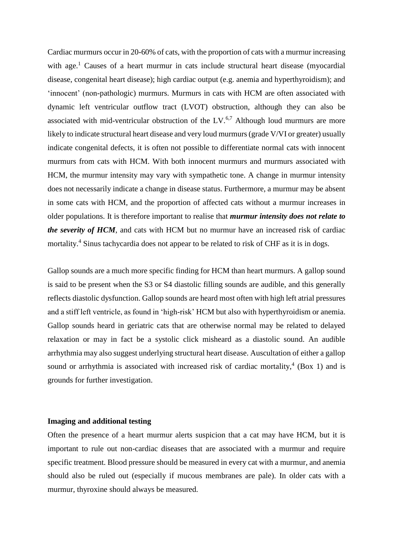Cardiac murmurs occur in 20-60% of cats, with the proportion of cats with a murmur increasing with age.<sup>1</sup> Causes of a heart murmur in cats include structural heart disease (myocardial disease, congenital heart disease); high cardiac output (e.g. anemia and hyperthyroidism); and 'innocent' (non-pathologic) murmurs. Murmurs in cats with HCM are often associated with dynamic left ventricular outflow tract (LVOT) obstruction, although they can also be associated with mid-ventricular obstruction of the LV. $6,7$  Although loud murmurs are more likely to indicate structural heart disease and very loud murmurs (grade V/VI or greater) usually indicate congenital defects, it is often not possible to differentiate normal cats with innocent murmurs from cats with HCM. With both innocent murmurs and murmurs associated with HCM, the murmur intensity may vary with sympathetic tone. A change in murmur intensity does not necessarily indicate a change in disease status. Furthermore, a murmur may be absent in some cats with HCM, and the proportion of affected cats without a murmur increases in older populations. It is therefore important to realise that *murmur intensity does not relate to the severity of HCM*, and cats with HCM but no murmur have an increased risk of cardiac mortality.<sup>4</sup> Sinus tachycardia does not appear to be related to risk of CHF as it is in dogs.

Gallop sounds are a much more specific finding for HCM than heart murmurs. A gallop sound is said to be present when the S3 or S4 diastolic filling sounds are audible, and this generally reflects diastolic dysfunction. Gallop sounds are heard most often with high left atrial pressures and a stiff left ventricle, as found in 'high-risk' HCM but also with hyperthyroidism or anemia. Gallop sounds heard in geriatric cats that are otherwise normal may be related to delayed relaxation or may in fact be a systolic click misheard as a diastolic sound. An audible arrhythmia may also suggest underlying structural heart disease. Auscultation of either a gallop sound or arrhythmia is associated with increased risk of cardiac mortality,<sup>4</sup> (Box 1) and is grounds for further investigation.

#### **Imaging and additional testing**

Often the presence of a heart murmur alerts suspicion that a cat may have HCM, but it is important to rule out non-cardiac diseases that are associated with a murmur and require specific treatment. Blood pressure should be measured in every cat with a murmur, and anemia should also be ruled out (especially if mucous membranes are pale). In older cats with a murmur, thyroxine should always be measured.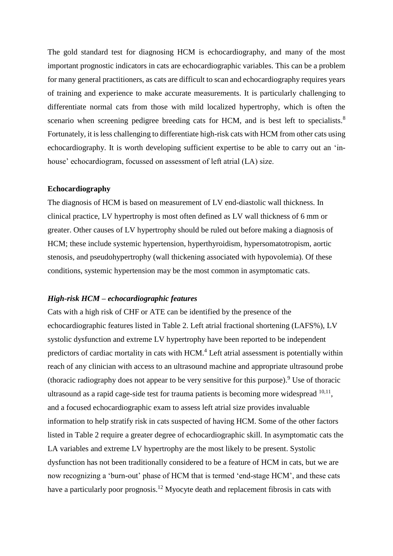The gold standard test for diagnosing HCM is echocardiography, and many of the most important prognostic indicators in cats are echocardiographic variables. This can be a problem for many general practitioners, as cats are difficult to scan and echocardiography requires years of training and experience to make accurate measurements. It is particularly challenging to differentiate normal cats from those with mild localized hypertrophy, which is often the scenario when screening pedigree breeding cats for HCM, and is best left to specialists.<sup>8</sup> Fortunately, it is less challenging to differentiate high-risk cats with HCM from other cats using echocardiography. It is worth developing sufficient expertise to be able to carry out an 'inhouse' echocardiogram, focussed on assessment of left atrial (LA) size.

#### **Echocardiography**

The diagnosis of HCM is based on measurement of LV end-diastolic wall thickness. In clinical practice, LV hypertrophy is most often defined as LV wall thickness of 6 mm or greater. Other causes of LV hypertrophy should be ruled out before making a diagnosis of HCM; these include systemic hypertension, hyperthyroidism, hypersomatotropism, aortic stenosis, and pseudohypertrophy (wall thickening associated with hypovolemia). Of these conditions, systemic hypertension may be the most common in asymptomatic cats.

#### *High-risk HCM – echocardiographic features*

Cats with a high risk of CHF or ATE can be identified by the presence of the echocardiographic features listed in Table 2. Left atrial fractional shortening (LAFS%), LV systolic dysfunction and extreme LV hypertrophy have been reported to be independent predictors of cardiac mortality in cats with HCM.<sup>4</sup> Left atrial assessment is potentially within reach of any clinician with access to an ultrasound machine and appropriate ultrasound probe (thoracic radiography does not appear to be very sensitive for this purpose). <sup>9</sup> Use of thoracic ultrasound as a rapid cage-side test for trauma patients is becoming more widespread  $10,11$ , and a focused echocardiographic exam to assess left atrial size provides invaluable information to help stratify risk in cats suspected of having HCM. Some of the other factors listed in Table 2 require a greater degree of echocardiographic skill. In asymptomatic cats the LA variables and extreme LV hypertrophy are the most likely to be present. Systolic dysfunction has not been traditionally considered to be a feature of HCM in cats, but we are now recognizing a 'burn-out' phase of HCM that is termed 'end-stage HCM', and these cats have a particularly poor prognosis.<sup>12</sup> Myocyte death and replacement fibrosis in cats with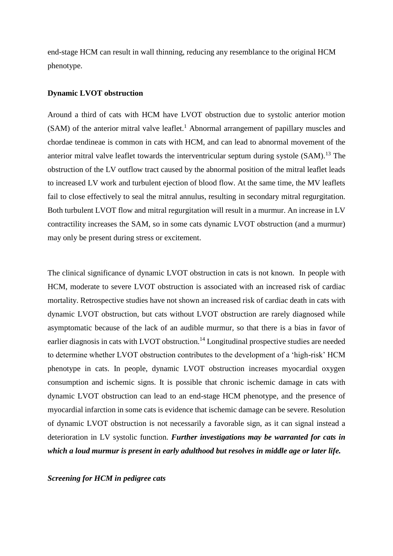end-stage HCM can result in wall thinning, reducing any resemblance to the original HCM phenotype.

## **Dynamic LVOT obstruction**

Around a third of cats with HCM have LVOT obstruction due to systolic anterior motion  $(SAM)$  of the anterior mitral valve leaflet.<sup>1</sup> Abnormal arrangement of papillary muscles and chordae tendineae is common in cats with HCM, and can lead to abnormal movement of the anterior mitral valve leaflet towards the interventricular septum during systole  $(SAM)$ .<sup>13</sup> The obstruction of the LV outflow tract caused by the abnormal position of the mitral leaflet leads to increased LV work and turbulent ejection of blood flow. At the same time, the MV leaflets fail to close effectively to seal the mitral annulus, resulting in secondary mitral regurgitation. Both turbulent LVOT flow and mitral regurgitation will result in a murmur. An increase in LV contractility increases the SAM, so in some cats dynamic LVOT obstruction (and a murmur) may only be present during stress or excitement.

The clinical significance of dynamic LVOT obstruction in cats is not known. In people with HCM, moderate to severe LVOT obstruction is associated with an increased risk of cardiac mortality. Retrospective studies have not shown an increased risk of cardiac death in cats with dynamic LVOT obstruction, but cats without LVOT obstruction are rarely diagnosed while asymptomatic because of the lack of an audible murmur, so that there is a bias in favor of earlier diagnosis in cats with LVOT obstruction.<sup>14</sup> Longitudinal prospective studies are needed to determine whether LVOT obstruction contributes to the development of a 'high-risk' HCM phenotype in cats. In people, dynamic LVOT obstruction increases myocardial oxygen consumption and ischemic signs. It is possible that chronic ischemic damage in cats with dynamic LVOT obstruction can lead to an end-stage HCM phenotype, and the presence of myocardial infarction in some cats is evidence that ischemic damage can be severe. Resolution of dynamic LVOT obstruction is not necessarily a favorable sign, as it can signal instead a deterioration in LV systolic function. *Further investigations may be warranted for cats in which a loud murmur is present in early adulthood but resolves in middle age or later life.* 

*Screening for HCM in pedigree cats*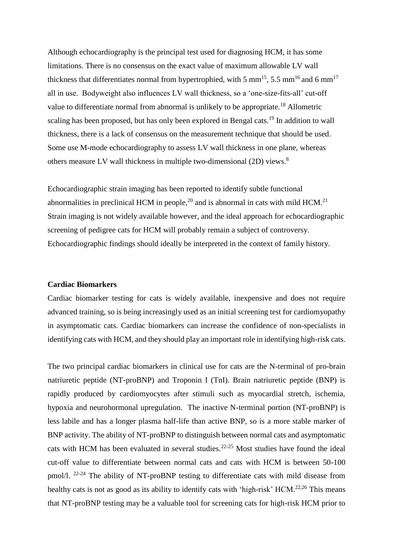Although echocardiography is the principal test used for diagnosing HCM, it has some limitations. There is no consensus on the exact value of maximum allowable LV wall thickness that differentiates normal from hypertrophied, with 5 mm<sup>15</sup>, 5.5 mm<sup>16</sup> and 6 mm<sup>17</sup> all in use. Bodyweight also influences LV wall thickness, so a 'one-size-fits-all' cut-off value to differentiate normal from abnormal is unlikely to be appropriate.<sup>18</sup> Allometric scaling has been proposed, but has only been explored in Bengal cats.<sup>19</sup> In addition to wall thickness, there is a lack of consensus on the measurement technique that should be used. Some use M-mode echocardiography to assess LV wall thickness in one plane, whereas others measure LV wall thickness in multiple two-dimensional (2D) views.<sup>8</sup>

Echocardiographic strain imaging has been reported to identify subtle functional abnormalities in preclinical HCM in people, $^{20}$  and is abnormal in cats with mild HCM.<sup>21</sup> Strain imaging is not widely available however, and the ideal approach for echocardiographic screening of pedigree cats for HCM will probably remain a subject of controversy. Echocardiographic findings should ideally be interpreted in the context of family history.

#### **Cardiac Biomarkers**

Cardiac biomarker testing for cats is widely available, inexpensive and does not require advanced training, so is being increasingly used as an initial screening test for cardiomyopathy in asymptomatic cats. Cardiac biomarkers can increase the confidence of non-specialists in identifying cats with HCM, and they should play an important role in identifying high-risk cats.

The two principal cardiac biomarkers in clinical use for cats are the N-terminal of pro-brain natriuretic peptide (NT-proBNP) and Troponin I (TnI). Brain natriuretic peptide (BNP) is rapidly produced by cardiomyocytes after stimuli such as myocardial stretch, ischemia, hypoxia and neurohormonal upregulation. The inactive N-terminal portion (NT-proBNP) is less labile and has a longer plasma half-life than active BNP, so is a more stable marker of BNP activity. The ability of NT-proBNP to distinguish between normal cats and asymptomatic cats with HCM has been evaluated in several studies.22-25 Most studies have found the ideal cut-off value to differentiate between normal cats and cats with HCM is between 50-100 pmol/l. 22-24 The ability of NT-proBNP testing to differentiate cats with mild disease from healthy cats is not as good as its ability to identify cats with 'high-risk' HCM.<sup>22,26</sup> This means that NT-proBNP testing may be a valuable tool for screening cats for high-risk HCM prior to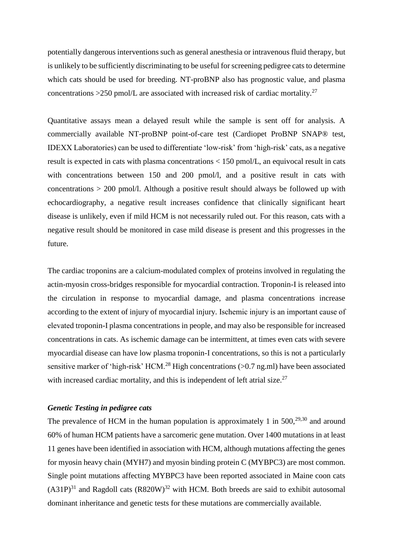potentially dangerous interventions such as general anesthesia or intravenous fluid therapy, but is unlikely to be sufficiently discriminating to be useful for screening pedigree cats to determine which cats should be used for breeding. NT-proBNP also has prognostic value, and plasma concentrations  $>$  250 pmol/L are associated with increased risk of cardiac mortality.<sup>27</sup>

Quantitative assays mean a delayed result while the sample is sent off for analysis. A commercially available NT-proBNP point-of-care test (Cardiopet ProBNP SNAP® test, IDEXX Laboratories) can be used to differentiate 'low-risk' from 'high-risk' cats, as a negative result is expected in cats with plasma concentrations < 150 pmol/L, an equivocal result in cats with concentrations between 150 and 200 pmol/l, and a positive result in cats with concentrations > 200 pmol/l. Although a positive result should always be followed up with echocardiography, a negative result increases confidence that clinically significant heart disease is unlikely, even if mild HCM is not necessarily ruled out. For this reason, cats with a negative result should be monitored in case mild disease is present and this progresses in the future.

The cardiac troponins are a calcium-modulated complex of proteins involved in regulating the actin-myosin cross-bridges responsible for myocardial contraction. Troponin-I is released into the circulation in response to myocardial damage, and plasma concentrations increase according to the extent of injury of myocardial injury. Ischemic injury is an important cause of elevated troponin-I plasma concentrations in people, and may also be responsible for increased concentrations in cats. As ischemic damage can be intermittent, at times even cats with severe myocardial disease can have low plasma troponin-I concentrations, so this is not a particularly sensitive marker of 'high-risk' HCM.<sup>28</sup> High concentrations ( $>0.7$  ng.ml) have been associated with increased cardiac mortality, and this is independent of left atrial size.<sup>27</sup>

#### *Genetic Testing in pedigree cats*

The prevalence of HCM in the human population is approximately 1 in  $500,^{29,30}$  and around 60% of human HCM patients have a sarcomeric gene mutation. Over 1400 mutations in at least 11 genes have been identified in association with HCM, although mutations affecting the genes for myosin heavy chain (MYH7) and myosin binding protein C (MYBPC3) are most common. Single point mutations affecting MYBPC3 have been reported associated in Maine coon cats  $(A31P)^{31}$  and Ragdoll cats  $(R820W)^{32}$  with HCM. Both breeds are said to exhibit autosomal dominant inheritance and genetic tests for these mutations are commercially available.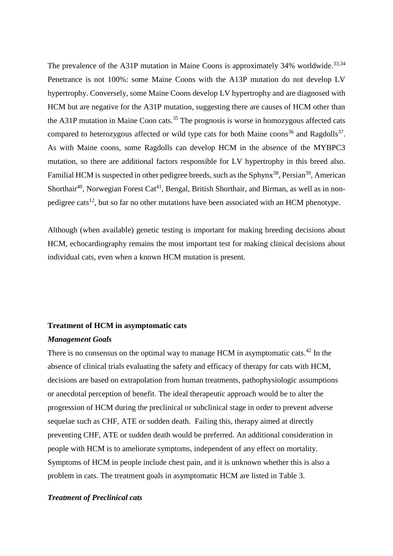The prevalence of the A31P mutation in Maine Coons is approximately  $34\%$  worldwide.<sup>33,34</sup> Penetrance is not 100%: some Maine Coons with the A13P mutation do not develop LV hypertrophy. Conversely, some Maine Coons develop LV hypertrophy and are diagnosed with HCM but are negative for the A31P mutation, suggesting there are causes of HCM other than the A31P mutation in Maine Coon cats.<sup>35</sup> The prognosis is worse in homozygous affected cats compared to heterozygous affected or wild type cats for both Maine coons<sup>36</sup> and Ragdolls<sup>37</sup>. As with Maine coons, some Ragdolls can develop HCM in the absence of the MYBPC3 mutation, so there are additional factors responsible for LV hypertrophy in this breed also. Familial HCM is suspected in other pedigree breeds, such as the Sphynx<sup>38</sup>, Persian<sup>39</sup>, American Shorthair<sup>40</sup>, Norwegian Forest Cat<sup>41</sup>, Bengal, British Shorthair, and Birman, as well as in nonpedigree cats<sup>12</sup>, but so far no other mutations have been associated with an HCM phenotype.

Although (when available) genetic testing is important for making breeding decisions about HCM, echocardiography remains the most important test for making clinical decisions about individual cats, even when a known HCM mutation is present.

#### **Treatment of HCM in asymptomatic cats**

#### *Management Goals*

There is no consensus on the optimal way to manage HCM in asymptomatic cats.<sup>42</sup> In the absence of clinical trials evaluating the safety and efficacy of therapy for cats with HCM, decisions are based on extrapolation from human treatments, pathophysiologic assumptions or anecdotal perception of benefit. The ideal therapeutic approach would be to alter the progression of HCM during the preclinical or subclinical stage in order to prevent adverse sequelae such as CHF, ATE or sudden death. Failing this, therapy aimed at directly preventing CHF, ATE or sudden death would be preferred. An additional consideration in people with HCM is to ameliorate symptoms, independent of any effect on mortality. Symptoms of HCM in people include chest pain, and it is unknown whether this is also a problem in cats. The treatment goals in asymptomatic HCM are listed in Table 3.

### *Treatment of Preclinical cats*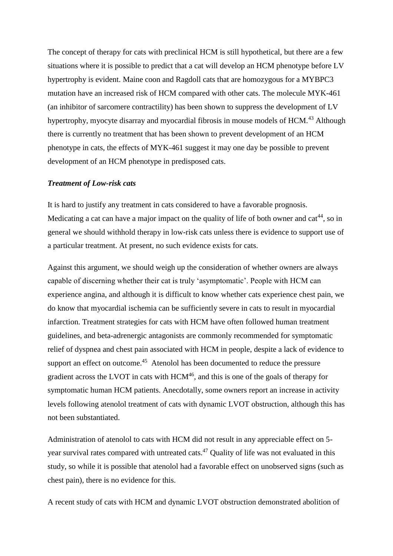The concept of therapy for cats with preclinical HCM is still hypothetical, but there are a few situations where it is possible to predict that a cat will develop an HCM phenotype before LV hypertrophy is evident. Maine coon and Ragdoll cats that are homozygous for a MYBPC3 mutation have an increased risk of HCM compared with other cats. The molecule MYK-461 (an inhibitor of sarcomere contractility) has been shown to suppress the development of LV hypertrophy, myocyte disarray and myocardial fibrosis in mouse models of HCM.<sup>43</sup> Although there is currently no treatment that has been shown to prevent development of an HCM phenotype in cats, the effects of MYK-461 suggest it may one day be possible to prevent development of an HCM phenotype in predisposed cats.

#### *Treatment of Low-risk cats*

It is hard to justify any treatment in cats considered to have a favorable prognosis. Medicating a cat can have a major impact on the quality of life of both owner and cat<sup>44</sup>, so in general we should withhold therapy in low-risk cats unless there is evidence to support use of a particular treatment. At present, no such evidence exists for cats.

Against this argument, we should weigh up the consideration of whether owners are always capable of discerning whether their cat is truly 'asymptomatic'. People with HCM can experience angina, and although it is difficult to know whether cats experience chest pain, we do know that myocardial ischemia can be sufficiently severe in cats to result in myocardial infarction. Treatment strategies for cats with HCM have often followed human treatment guidelines, and beta-adrenergic antagonists are commonly recommended for symptomatic relief of dyspnea and chest pain associated with HCM in people, despite a lack of evidence to support an effect on outcome.<sup>45</sup> Atenolol has been documented to reduce the pressure gradient across the LVOT in cats with  $HCM<sup>46</sup>$ , and this is one of the goals of therapy for symptomatic human HCM patients. Anecdotally, some owners report an increase in activity levels following atenolol treatment of cats with dynamic LVOT obstruction, although this has not been substantiated.

Administration of atenolol to cats with HCM did not result in any appreciable effect on 5 year survival rates compared with untreated cats.<sup>47</sup> Quality of life was not evaluated in this study, so while it is possible that atenolol had a favorable effect on unobserved signs (such as chest pain), there is no evidence for this.

A recent study of cats with HCM and dynamic LVOT obstruction demonstrated abolition of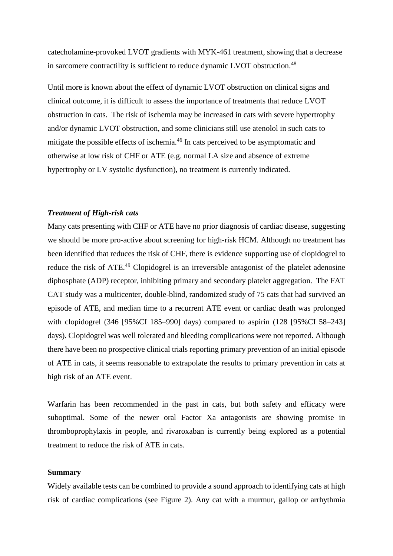catecholamine-provoked LVOT gradients with MYK-461 treatment, showing that a decrease in sarcomere contractility is sufficient to reduce dynamic LVOT obstruction.<sup>48</sup>

Until more is known about the effect of dynamic LVOT obstruction on clinical signs and clinical outcome, it is difficult to assess the importance of treatments that reduce LVOT obstruction in cats. The risk of ischemia may be increased in cats with severe hypertrophy and/or dynamic LVOT obstruction, and some clinicians still use atenolol in such cats to mitigate the possible effects of ischemia.<sup>46</sup> In cats perceived to be asymptomatic and otherwise at low risk of CHF or ATE (e.g. normal LA size and absence of extreme hypertrophy or LV systolic dysfunction), no treatment is currently indicated.

### *Treatment of High-risk cats*

Many cats presenting with CHF or ATE have no prior diagnosis of cardiac disease, suggesting we should be more pro-active about screening for high-risk HCM. Although no treatment has been identified that reduces the risk of CHF, there is evidence supporting use of clopidogrel to reduce the risk of ATE.<sup>49</sup> Clopidogrel is an irreversible antagonist of the platelet adenosine diphosphate (ADP) receptor, inhibiting primary and secondary platelet aggregation. The FAT CAT study was a multicenter, double-blind, randomized study of 75 cats that had survived an episode of ATE, and median time to a recurrent ATE event or cardiac death was prolonged with clopidogrel (346 [95%CI 185–990] days) compared to aspirin (128 [95%CI 58–243] days). Clopidogrel was well tolerated and bleeding complications were not reported. Although there have been no prospective clinical trials reporting primary prevention of an initial episode of ATE in cats, it seems reasonable to extrapolate the results to primary prevention in cats at high risk of an ATE event.

Warfarin has been recommended in the past in cats, but both safety and efficacy were suboptimal. Some of the newer oral Factor Xa antagonists are showing promise in thromboprophylaxis in people, and rivaroxaban is currently being explored as a potential treatment to reduce the risk of ATE in cats.

## **Summary**

Widely available tests can be combined to provide a sound approach to identifying cats at high risk of cardiac complications (see Figure 2). Any cat with a murmur, gallop or arrhythmia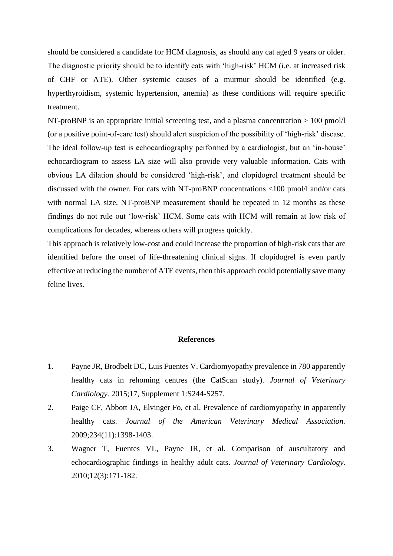should be considered a candidate for HCM diagnosis, as should any cat aged 9 years or older. The diagnostic priority should be to identify cats with 'high-risk' HCM (i.e. at increased risk of CHF or ATE). Other systemic causes of a murmur should be identified (e.g. hyperthyroidism, systemic hypertension, anemia) as these conditions will require specific treatment.

NT-proBNP is an appropriate initial screening test, and a plasma concentration > 100 pmol/l (or a positive point-of-care test) should alert suspicion of the possibility of 'high-risk' disease. The ideal follow-up test is echocardiography performed by a cardiologist, but an 'in-house' echocardiogram to assess LA size will also provide very valuable information. Cats with obvious LA dilation should be considered 'high-risk', and clopidogrel treatment should be discussed with the owner. For cats with NT-proBNP concentrations <100 pmol/l and/or cats with normal LA size, NT-proBNP measurement should be repeated in 12 months as these findings do not rule out 'low-risk' HCM. Some cats with HCM will remain at low risk of complications for decades, whereas others will progress quickly.

This approach is relatively low-cost and could increase the proportion of high-risk cats that are identified before the onset of life-threatening clinical signs. If clopidogrel is even partly effective at reducing the number of ATE events, then this approach could potentially save many feline lives.

#### **References**

- 1. Payne JR, Brodbelt DC, Luis Fuentes V. Cardiomyopathy prevalence in 780 apparently healthy cats in rehoming centres (the CatScan study). *Journal of Veterinary Cardiology.* 2015;17, Supplement 1:S244-S257.
- 2. Paige CF, Abbott JA, Elvinger Fo, et al. Prevalence of cardiomyopathy in apparently healthy cats. *Journal of the American Veterinary Medical Association.*  2009;234(11):1398-1403.
- 3. Wagner T, Fuentes VL, Payne JR, et al. Comparison of auscultatory and echocardiographic findings in healthy adult cats. *Journal of Veterinary Cardiology.*  2010;12(3):171-182.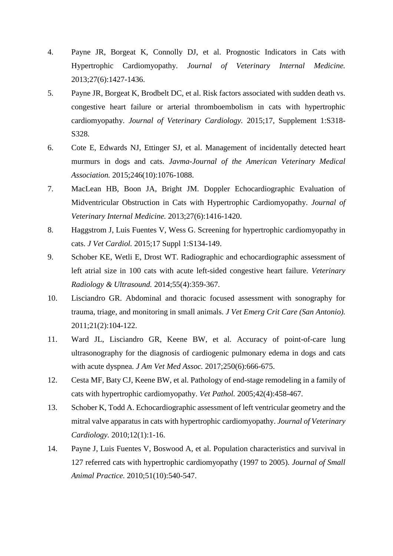- 4. Payne JR, Borgeat K, Connolly DJ, et al. Prognostic Indicators in Cats with Hypertrophic Cardiomyopathy. *Journal of Veterinary Internal Medicine.*  2013;27(6):1427-1436.
- 5. Payne JR, Borgeat K, Brodbelt DC, et al. Risk factors associated with sudden death vs. congestive heart failure or arterial thromboembolism in cats with hypertrophic cardiomyopathy. *Journal of Veterinary Cardiology.* 2015;17, Supplement 1:S318- S328.
- 6. Cote E, Edwards NJ, Ettinger SJ, et al. Management of incidentally detected heart murmurs in dogs and cats. *Javma-Journal of the American Veterinary Medical Association.* 2015;246(10):1076-1088.
- 7. MacLean HB, Boon JA, Bright JM. Doppler Echocardiographic Evaluation of Midventricular Obstruction in Cats with Hypertrophic Cardiomyopathy. *Journal of Veterinary Internal Medicine.* 2013;27(6):1416-1420.
- 8. Haggstrom J, Luis Fuentes V, Wess G. Screening for hypertrophic cardiomyopathy in cats. *J Vet Cardiol.* 2015;17 Suppl 1:S134-149.
- 9. Schober KE, Wetli E, Drost WT. Radiographic and echocardiographic assessment of left atrial size in 100 cats with acute left-sided congestive heart failure. *Veterinary Radiology & Ultrasound.* 2014;55(4):359-367.
- 10. Lisciandro GR. Abdominal and thoracic focused assessment with sonography for trauma, triage, and monitoring in small animals. *J Vet Emerg Crit Care (San Antonio).*  2011;21(2):104-122.
- 11. Ward JL, Lisciandro GR, Keene BW, et al. Accuracy of point-of-care lung ultrasonography for the diagnosis of cardiogenic pulmonary edema in dogs and cats with acute dyspnea. *J Am Vet Med Assoc.* 2017;250(6):666-675.
- 12. Cesta MF, Baty CJ, Keene BW, et al. Pathology of end-stage remodeling in a family of cats with hypertrophic cardiomyopathy. *Vet Pathol.* 2005;42(4):458-467.
- 13. Schober K, Todd A. Echocardiographic assessment of left ventricular geometry and the mitral valve apparatus in cats with hypertrophic cardiomyopathy. *Journal of Veterinary Cardiology.* 2010;12(1):1-16.
- 14. Payne J, Luis Fuentes V, Boswood A, et al. Population characteristics and survival in 127 referred cats with hypertrophic cardiomyopathy (1997 to 2005). *Journal of Small Animal Practice.* 2010;51(10):540-547.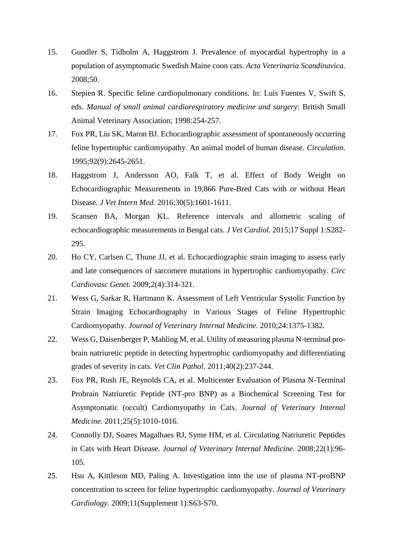- 15. Gundler S, Tidholm A, Haggstrom J. Prevalence of myocardial hypertrophy in a population of asymptomatic Swedish Maine coon cats. *Acta Veterinaria Scandinavica.*  2008;50.
- 16. Stepien R. Specific feline cardiopulmonary conditions. In: Luis Fuentes V, Swift S, eds. *Manual of small animal cardiorespiratory medicine and surgery*: British Small Animal Veterinary Association; 1998:254-257.
- 17. Fox PR, Liu SK, Maron BJ. Echocardiographic assessment of spontaneously occurring feline hypertrophic cardiomyopathy. An animal model of human disease. *Circulation.*  1995;92(9):2645-2651.
- 18. Haggstrom J, Andersson AO, Falk T, et al. Effect of Body Weight on Echocardiographic Measurements in 19,866 Pure-Bred Cats with or without Heart Disease. *J Vet Intern Med.* 2016;30(5):1601-1611.
- 19. Scansen BA, Morgan KL. Reference intervals and allometric scaling of echocardiographic measurements in Bengal cats. *J Vet Cardiol.* 2015;17 Suppl 1:S282- 295.
- 20. Ho CY, Carlsen C, Thune JJ, et al. Echocardiographic strain imaging to assess early and late consequences of sarcomere mutations in hypertrophic cardiomyopathy. *Circ Cardiovasc Genet.* 2009;2(4):314-321.
- 21. Wess G, Sarkar R, Hartmann K. Assessment of Left Ventricular Systolic Function by Strain Imaging Echocardiography in Various Stages of Feline Hypertrophic Cardiomyopathy. *Journal of Veterinary Internal Medicine.* 2010;24:1375-1382.
- 22. Wess G, Daisenberger P, Mahling M, et al. Utility of measuring plasma N-terminal probrain natriuretic peptide in detecting hypertrophic cardiomyopathy and differentiating grades of severity in cats. *Vet Clin Pathol.* 2011;40(2):237-244.
- 23. Fox PR, Rush JE, Reynolds CA, et al. Multicenter Evaluation of Plasma N-Terminal Probrain Natriuretic Peptide (NT-pro BNP) as a Biochemical Screening Test for Asymptomatic (occult) Cardiomyopathy in Cats. *Journal of Veterinary Internal Medicine.* 2011;25(5):1010-1016.
- 24. Connolly DJ, Soares Magalhaes RJ, Syme HM, et al. Circulating Natriuretic Peptides in Cats with Heart Disease. *Journal of Veterinary Internal Medicine.* 2008;22(1):96- 105.
- 25. Hsu A, Kittleson MD, Paling A. Investigation into the use of plasma NT-proBNP concentration to screen for feline hypertrophic cardiomyopathy. *Journal of Veterinary Cardiology.* 2009;11(Supplement 1):S63-S70.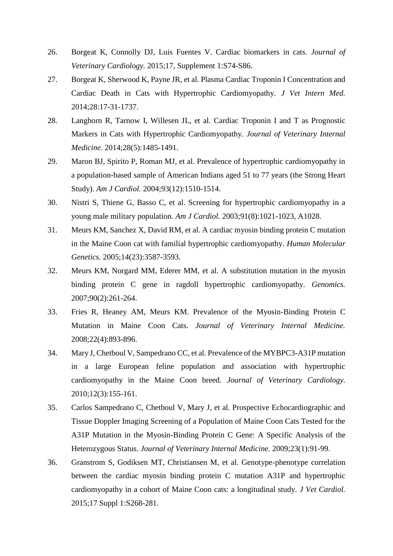- 26. Borgeat K, Connolly DJ, Luis Fuentes V. Cardiac biomarkers in cats. *Journal of Veterinary Cardiology.* 2015;17, Supplement 1:S74-S86.
- 27. Borgeat K, Sherwood K, Payne JR, et al. Plasma Cardiac Troponin I Concentration and Cardiac Death in Cats with Hypertrophic Cardiomyopathy. *J Vet Intern Med.*  2014;28:17-31-1737.
- 28. Langhorn R, Tarnow I, Willesen JL, et al. Cardiac Troponin I and T as Prognostic Markers in Cats with Hypertrophic Cardiomyopathy. *Journal of Veterinary Internal Medicine.* 2014;28(5):1485-1491.
- 29. Maron BJ, Spirito P, Roman MJ, et al. Prevalence of hypertrophic cardiomyopathy in a population-based sample of American Indians aged 51 to 77 years (the Strong Heart Study). *Am J Cardiol.* 2004;93(12):1510-1514.
- 30. Nistri S, Thiene G, Basso C, et al. Screening for hypertrophic cardiomyopathy in a young male military population. *Am J Cardiol.* 2003;91(8):1021-1023, A1028.
- 31. Meurs KM, Sanchez X, David RM, et al. A cardiac myosin binding protein C mutation in the Maine Coon cat with familial hypertrophic cardiomyopathy. *Human Molecular Genetics.* 2005;14(23):3587-3593.
- 32. Meurs KM, Norgard MM, Ederer MM, et al. A substitution mutation in the myosin binding protein C gene in ragdoll hypertrophic cardiomyopathy. *Genomics.*  2007;90(2):261-264.
- 33. Fries R, Heaney AM, Meurs KM. Prevalence of the Myosin-Binding Protein C Mutation in Maine Coon Cats. *Journal of Veterinary Internal Medicine.*  2008;22(4):893-896.
- 34. Mary J, Chetboul V, Sampedrano CC, et al. Prevalence of the MYBPC3-A31P mutation in a large European feline population and association with hypertrophic cardiomyopathy in the Maine Coon breed. *Journal of Veterinary Cardiology.*  2010;12(3):155-161.
- 35. Carlos Sampedrano C, Chetboul V, Mary J, et al. Prospective Echocardiographic and Tissue Doppler Imaging Screening of a Population of Maine Coon Cats Tested for the A31P Mutation in the Myosin-Binding Protein C Gene: A Specific Analysis of the Heterozygous Status. *Journal of Veterinary Internal Medicine.* 2009;23(1):91-99.
- 36. Granstrom S, Godiksen MT, Christiansen M, et al. Genotype-phenotype correlation between the cardiac myosin binding protein C mutation A31P and hypertrophic cardiomyopathy in a cohort of Maine Coon cats: a longitudinal study. *J Vet Cardiol.*  2015;17 Suppl 1:S268-281.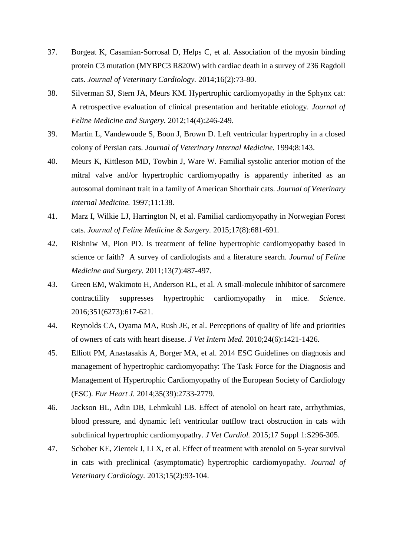- 37. Borgeat K, Casamian-Sorrosal D, Helps C, et al. Association of the myosin binding protein C3 mutation (MYBPC3 R820W) with cardiac death in a survey of 236 Ragdoll cats. *Journal of Veterinary Cardiology.* 2014;16(2):73-80.
- 38. Silverman SJ, Stern JA, Meurs KM. Hypertrophic cardiomyopathy in the Sphynx cat: A retrospective evaluation of clinical presentation and heritable etiology. *Journal of Feline Medicine and Surgery.* 2012;14(4):246-249.
- 39. Martin L, Vandewoude S, Boon J, Brown D. Left ventricular hypertrophy in a closed colony of Persian cats. *Journal of Veterinary Internal Medicine.* 1994;8:143.
- 40. Meurs K, Kittleson MD, Towbin J, Ware W. Familial systolic anterior motion of the mitral valve and/or hypertrophic cardiomyopathy is apparently inherited as an autosomal dominant trait in a family of American Shorthair cats. *Journal of Veterinary Internal Medicine.* 1997;11:138.
- 41. Marz I, Wilkie LJ, Harrington N, et al. Familial cardiomyopathy in Norwegian Forest cats. *Journal of Feline Medicine & Surgery.* 2015;17(8):681-691.
- 42. Rishniw M, Pion PD. Is treatment of feline hypertrophic cardiomyopathy based in science or faith? A survey of cardiologists and a literature search. *Journal of Feline Medicine and Surgery.* 2011;13(7):487-497.
- 43. Green EM, Wakimoto H, Anderson RL, et al. A small-molecule inhibitor of sarcomere contractility suppresses hypertrophic cardiomyopathy in mice. *Science.*  2016;351(6273):617-621.
- 44. Reynolds CA, Oyama MA, Rush JE, et al. Perceptions of quality of life and priorities of owners of cats with heart disease. *J Vet Intern Med.* 2010;24(6):1421-1426.
- 45. Elliott PM, Anastasakis A, Borger MA, et al. 2014 ESC Guidelines on diagnosis and management of hypertrophic cardiomyopathy: The Task Force for the Diagnosis and Management of Hypertrophic Cardiomyopathy of the European Society of Cardiology (ESC). *Eur Heart J.* 2014;35(39):2733-2779.
- 46. Jackson BL, Adin DB, Lehmkuhl LB. Effect of atenolol on heart rate, arrhythmias, blood pressure, and dynamic left ventricular outflow tract obstruction in cats with subclinical hypertrophic cardiomyopathy. *J Vet Cardiol.* 2015;17 Suppl 1:S296-305.
- 47. Schober KE, Zientek J, Li X, et al. Effect of treatment with atenolol on 5-year survival in cats with preclinical (asymptomatic) hypertrophic cardiomyopathy. *Journal of Veterinary Cardiology.* 2013;15(2):93-104.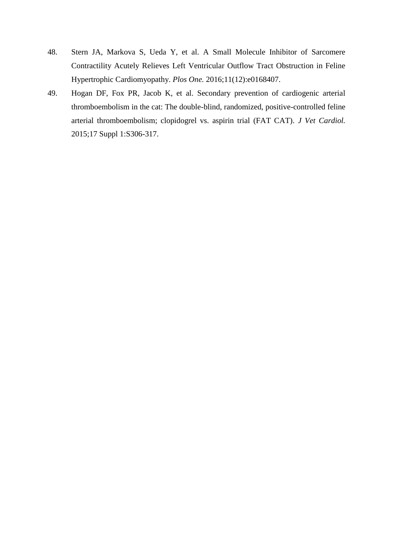- 48. Stern JA, Markova S, Ueda Y, et al. A Small Molecule Inhibitor of Sarcomere Contractility Acutely Relieves Left Ventricular Outflow Tract Obstruction in Feline Hypertrophic Cardiomyopathy. *Plos One.* 2016;11(12):e0168407.
- 49. Hogan DF, Fox PR, Jacob K, et al. Secondary prevention of cardiogenic arterial thromboembolism in the cat: The double-blind, randomized, positive-controlled feline arterial thromboembolism; clopidogrel vs. aspirin trial (FAT CAT). *J Vet Cardiol.*  2015;17 Suppl 1:S306-317.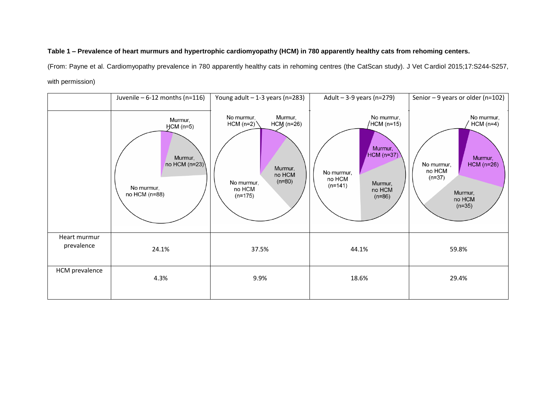### **Table 1 – Prevalence of heart murmurs and hypertrophic cardiomyopathy (HCM) in 780 apparently healthy cats from rehoming centers.**

(From: Payne et al. Cardiomyopathy prevalence in 780 apparently healthy cats in rehoming centres (the CatScan study). J Vet Cardiol 2015;17:S244-S257, with permission)

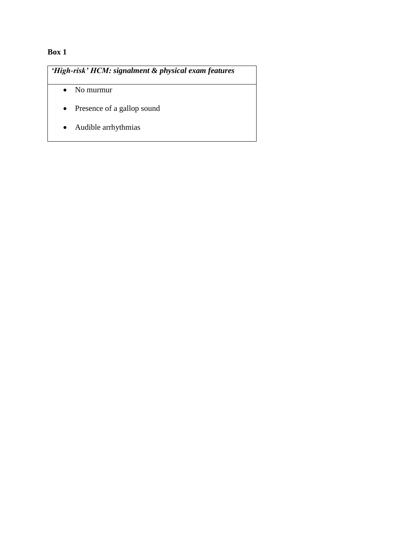# **Box 1**

*'High-risk' HCM: signalment & physical exam features*

- No murmur
- Presence of a gallop sound
- Audible arrhythmias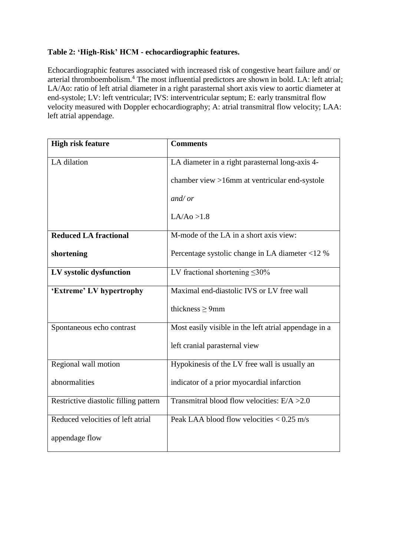## **Table 2: 'High-Risk' HCM - echocardiographic features.**

Echocardiographic features associated with increased risk of congestive heart failure and/ or arterial thromboembolism.<sup>4</sup> The most influential predictors are shown in bold. LA: left atrial; LA/Ao: ratio of left atrial diameter in a right parasternal short axis view to aortic diameter at end-systole; LV: left ventricular; IVS: interventricular septum; E: early transmitral flow velocity measured with Doppler echocardiography; A: atrial transmitral flow velocity; LAA: left atrial appendage.

| <b>High risk feature</b>              | <b>Comments</b>                                       |  |
|---------------------------------------|-------------------------------------------------------|--|
| LA dilation                           | LA diameter in a right parasternal long-axis 4-       |  |
|                                       | chamber view >16mm at ventricular end-systole         |  |
|                                       | and/or                                                |  |
|                                       | LA/Ao > 1.8                                           |  |
| <b>Reduced LA fractional</b>          | M-mode of the LA in a short axis view:                |  |
| shortening                            | Percentage systolic change in LA diameter <12 %       |  |
| LV systolic dysfunction               | LV fractional shortening $\leq 30\%$                  |  |
| 'Extreme' LV hypertrophy              | Maximal end-diastolic IVS or LV free wall             |  |
|                                       | thickness $\geq$ 9mm                                  |  |
| Spontaneous echo contrast             | Most easily visible in the left atrial appendage in a |  |
|                                       | left cranial parasternal view                         |  |
| Regional wall motion                  | Hypokinesis of the LV free wall is usually an         |  |
| abnormalities                         | indicator of a prior myocardial infarction            |  |
| Restrictive diastolic filling pattern | Transmitral blood flow velocities: $E/A > 2.0$        |  |
| Reduced velocities of left atrial     | Peak LAA blood flow velocities $< 0.25$ m/s           |  |
| appendage flow                        |                                                       |  |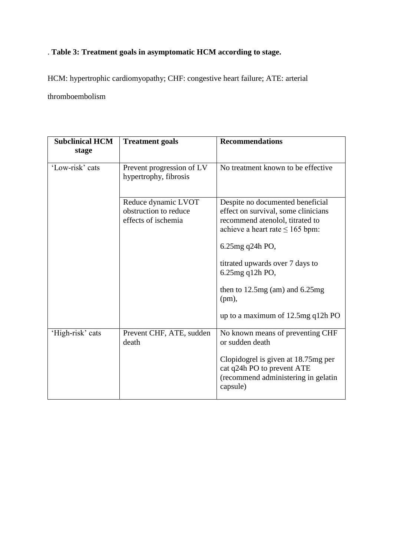# . **Table 3: Treatment goals in asymptomatic HCM according to stage.**

HCM: hypertrophic cardiomyopathy; CHF: congestive heart failure; ATE: arterial

thromboembolism

| <b>Subclinical HCM</b><br>stage | <b>Treatment goals</b>                                              | <b>Recommendations</b>                                                                                                                                                                                                                                                                                                  |
|---------------------------------|---------------------------------------------------------------------|-------------------------------------------------------------------------------------------------------------------------------------------------------------------------------------------------------------------------------------------------------------------------------------------------------------------------|
| 'Low-risk' cats                 | Prevent progression of LV<br>hypertrophy, fibrosis                  | No treatment known to be effective                                                                                                                                                                                                                                                                                      |
|                                 | Reduce dynamic LVOT<br>obstruction to reduce<br>effects of ischemia | Despite no documented beneficial<br>effect on survival, some clinicians<br>recommend atenolol, titrated to<br>achieve a heart rate $\leq 165$ bpm:<br>6.25mg q24h PO,<br>titrated upwards over 7 days to<br>6.25mg q12h PO,<br>then to $12.5mg$ (am) and $6.25mg$<br>$(pm)$ ,<br>up to a maximum of $12.5mg$ q $12h$ PO |
|                                 |                                                                     |                                                                                                                                                                                                                                                                                                                         |
| 'High-risk' cats                | Prevent CHF, ATE, sudden<br>death                                   | No known means of preventing CHF<br>or sudden death<br>Clopidogrel is given at 18.75mg per<br>cat q24h PO to prevent ATE<br>(recommend administering in gelatin<br>capsule)                                                                                                                                             |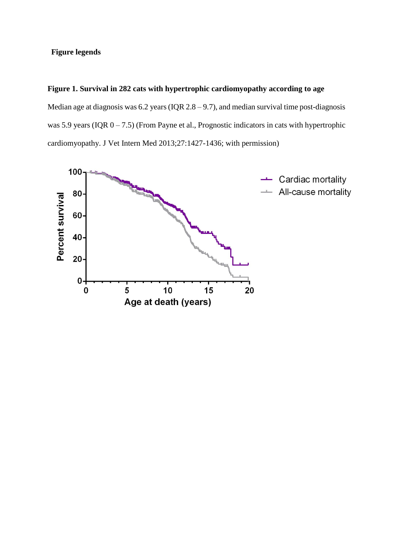## **Figure legends**

### **Figure 1. Survival in 282 cats with hypertrophic cardiomyopathy according to age**

Median age at diagnosis was  $6.2$  years (IQR  $2.8 - 9.7$ ), and median survival time post-diagnosis was 5.9 years (IQR  $0 - 7.5$ ) (From Payne et al., Prognostic indicators in cats with hypertrophic cardiomyopathy. J Vet Intern Med 2013;27:1427-1436; with permission)